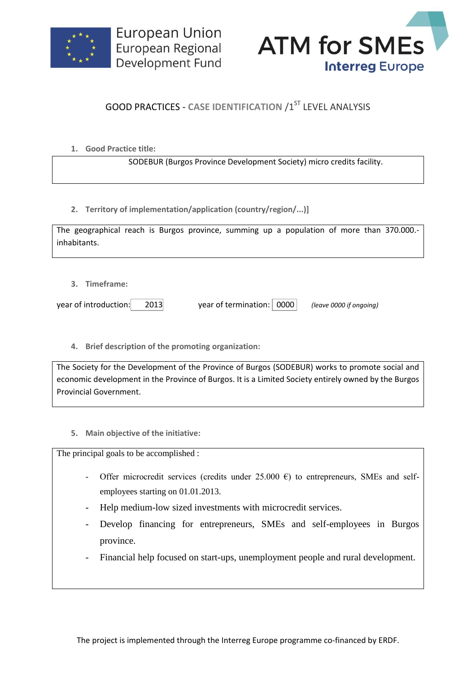



## **GOOD PRACTICES - CASE IDENTIFICATION /1ST LEVEL ANALYSIS**

**1. Good Practice title:**

SODEBUR (Burgos Province Development Society) micro credits facility.

**2. Territory of implementation/application (country/region/...)]**

| The geographical reach is Burgos province, summing up a population of more than 370.000.- |  |  |  |  |  |  |  |
|-------------------------------------------------------------------------------------------|--|--|--|--|--|--|--|
| inhabitants.                                                                              |  |  |  |  |  |  |  |

**3. Timeframe:**

year of introduction: 2013 year of termination: 0000 *(leave 0000 if ongoing)*

**4. Brief description of the promoting organization:**

The Society for the Development of the Province of Burgos (SODEBUR) works to promote social and economic development in the Province of Burgos. It is a Limited Society entirely owned by the Burgos Provincial Government.

**5. Main objective of the initiative:**

The principal goals to be accomplished :

- Offer microcredit services (credits under 25.000  $\epsilon$ ) to entrepreneurs, SMEs and selfemployees starting on 01.01.2013.
- Help medium-low sized investments with microcredit services.
- Develop financing for entrepreneurs, SMEs and self-employees in Burgos province.
- Financial help focused on start-ups, unemployment people and rural development.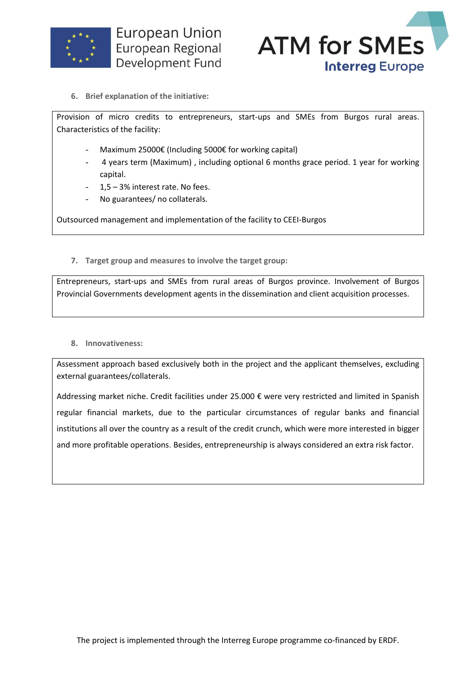



**6. Brief explanation of the initiative:**

Provision of micro credits to entrepreneurs, start-ups and SMEs from Burgos rural areas. Characteristics of the facility:

- Maximum 25000€ (Including 5000€ for working capital)
- 4 years term (Maximum), including optional 6 months grace period. 1 year for working capital.
- 1,5 3% interest rate. No fees.
- No guarantees/ no collaterals.

Outsourced management and implementation of the facility to CEEI-Burgos

**7. Target group and measures to involve the target group:**

Entrepreneurs, start-ups and SMEs from rural areas of Burgos province. Involvement of Burgos Provincial Governments development agents in the dissemination and client acquisition processes.

## **8. Innovativeness:**

Assessment approach based exclusively both in the project and the applicant themselves, excluding external guarantees/collaterals.

Addressing market niche. Credit facilities under 25.000 € were very restricted and limited in Spanish regular financial markets, due to the particular circumstances of regular banks and financial institutions all over the country as a result of the credit crunch, which were more interested in bigger and more profitable operations. Besides, entrepreneurship is always considered an extra risk factor.